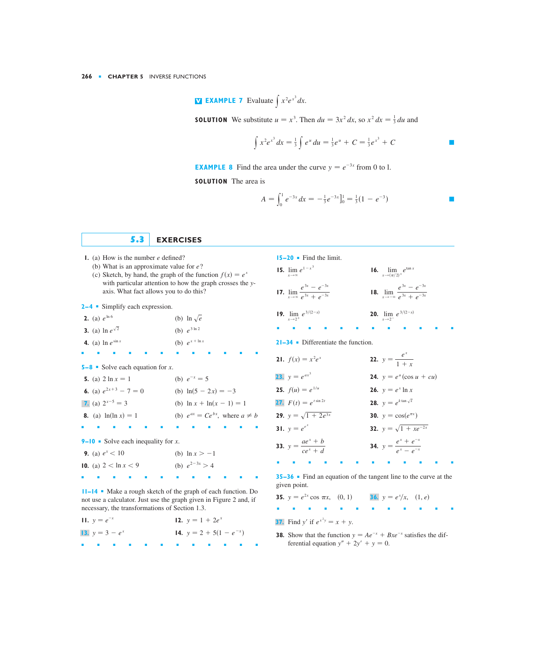**N EXAMPLE 7** Evaluate  $\int x^2 e^{x^3} dx$ .

**SOLUTION** We substitute  $u = x^3$ . Then  $du = 3x^2 dx$ , so  $x^2 dx = \frac{1}{3} du$  and

 $15-20$  • Find the limit.

$$
\int x^2 e^{x^3} dx = \frac{1}{3} \int e^u du = \frac{1}{3} e^u + C = \frac{1}{3} e^{x^3} + C
$$

**EXAMPLE 8** Find the area under the curve  $y = e^{-3x}$  from 0 to 1.

**SOLUTION** The area is

$$
A = \int_0^1 e^{-3x} dx = -\frac{1}{3} e^{-3x} \Big|_0^1 = \frac{1}{3} (1 - e^{-3})
$$

5.3

## **EXERCISES**

- 1. (a) How is the number  $e$  defined?
	- (b) What is an approximate value for  $e$ ?
	- (c) Sketch, by hand, the graph of the function  $f(x) = e^x$ with particular attention to how the graph crosses the yaxis. What fact allows you to do this?

 $2-4$  Simplify each expression.

|  | <b>2.</b> (a) $e^{\ln 6}$        | (b) $\ln \sqrt{e}$  |
|--|----------------------------------|---------------------|
|  | <b>3.</b> (a) $\ln e^{\sqrt{2}}$ | (b) $e^{3 \ln 2}$   |
|  | <b>4.</b> (a) $\ln e^{\sin x}$   | (b) $e^{x + \ln x}$ |

**5-8** • Solve each equation for x.

| <b>5.</b> (a) $2 \ln x = 1$  | (b) $e^{-x} = 5$                          |
|------------------------------|-------------------------------------------|
| 6. (a) $e^{2x+3} - 7 = 0$    | (b) $\ln(5-2x) = -3$                      |
| 7. (a) $2^{x-5} = 3$         | (b) $\ln x + \ln(x - 1) = 1$              |
| <b>8.</b> (a) $ln(ln x) = 1$ | (b) $e^{ax} = Ce^{bx}$ , where $a \neq b$ |
|                              |                                           |

9–10 • Solve each inequality for x.

| <b>9.</b> (a) $e^x < 10$ | (b) $\ln x > -1$   |
|--------------------------|--------------------|
| 10. (a) $2 < \ln x < 9$  | (b) $e^{2-3x} > 4$ |
|                          |                    |

**11-14** • Make a rough sketch of the graph of each function. Do not use a calculator. Just use the graph given in Figure 2 and, if necessary, the transformations of Section 1.3.

| 11. $y = e^{-x}$  |  |  |  |                             | 12. $y = 1 + 2e^{x}$ |  |  |  |  |
|-------------------|--|--|--|-----------------------------|----------------------|--|--|--|--|
| 13. $y = 3 - e^x$ |  |  |  | 14. $y = 2 + 5(1 - e^{-x})$ |                      |  |  |  |  |
| . .               |  |  |  |                             |                      |  |  |  |  |

**15.**  $\lim e^{1-x^3}$ **16.**  $\lim_{x \to (\pi/2)^+} e^{\tan x}$ 17.  $\lim_{x \to \infty} \frac{e^{3x} - e^{-3x}}{e^{3x} + e^{-3x}}$ **18.**  $\lim_{x \to -\infty} \frac{e^{3x} - e^{-3x}}{e^{3x} + e^{-3x}}$ **20.**  $\lim e^{3/(2-x)}$ 19.  $\lim e^{3/(2-x)}$  $x \rightarrow 2^+$  $x \rightarrow 2^ 21-34$  • Differentiate the function. 22.  $y = \frac{e^x}{1 + x}$ **21.**  $f(x) = x^2 e^x$ **23.**  $v = e^{ax^3}$ **24.**  $y = e^u(\cos u + cu)$ **25.**  $f(u) = e^{1/u}$ **26.**  $y = e^x \ln x$ **27.**  $F(t) = e^{t \sin 2t}$ **28.**  $y = e^{k \tan \sqrt{x}}$ **29.**  $y = \sqrt{1 + 2e^{3x}}$ **30.**  $y = \cos(e^{\pi x})$ **31.**  $y = e^{e^x}$ **32.**  $y = \sqrt{1 + xe^{-2x}}$ **33.**  $y = \frac{ae^x + b}{ce^x + d}$ **34.**  $y = \frac{e^x + e^{-x}}{e^x - e^{-x}}$ 

35-36 • Find an equation of the tangent line to the curve at the given point.

**35.**  $y = e^{2x} \cos \pi x$ , (0, 1) **36.**  $y = e^x/x$ , (1, e) **37.** Find y' if  $e^{x^2y} = x + y$ .

**38.** Show that the function  $y = Ae^{-x} + Bxe^{-x}$  satisfies the differential equation  $y'' + 2y' + y = 0$ .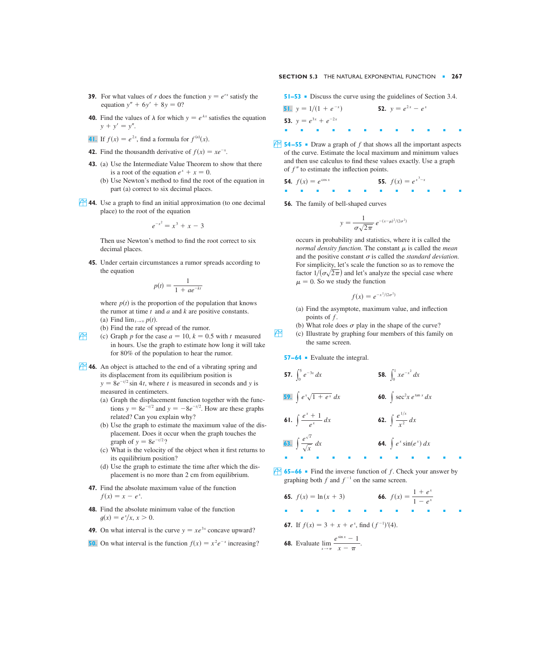- **39.** For what values of r does the function  $y = e^{rx}$  satisfy the equation  $y'' + 6y' + 8y = 0$ ?
- **40.** Find the values of  $\lambda$  for which  $y = e^{\lambda x}$  satisfies the equation  $y + y' = y''$ .
- **41.** If  $f(x) = e^{2x}$ , find a formula for  $f^{(n)}(x)$ .
- **42.** Find the thousandth derivative of  $f(x) = xe^{-x}$ .
- **43.** (a) Use the Intermediate Value Theorem to show that there is a root of the equation  $e^x + x = 0$ .
	- (b) Use Newton's method to find the root of the equation in part (a) correct to six decimal places.
- **44.** Use a graph to find an initial approximation (to one decimal place) to the root of the equation

$$
e^{-x^2} = x^3 + x - 3
$$

Then use Newton's method to find the root correct to six decimal places.

**45.** Under certain circumstances a rumor spreads according to the equation

$$
p(t) = \frac{1}{1 + ae^{-kt}}
$$

where  $p(t)$  is the proportion of the population that knows the rumor at time  $t$  and  $a$  and  $k$  are positive constants. (a) Find  $\lim_{t\to\infty} p(t)$ .

- (b) Find the rate of spread of the rumor.
- (c) Graph *p* for the case  $a = 10$ ,  $k = 0.5$  with *t* measured in hours. Use the graph to estimate how long it will take for 80% of the population to hear the rumor.
- **46.** An object is attached to the end of a vibrating spring and its displacement from its equilibrium position is  $y = 8e^{-t/2} \sin 4t$ , where t is measured in seconds and y is measured in centimeters.
	- (a) Graph the displacement function together with the functions  $y = 8e^{-t/2}$  and  $y = -8e^{-t/2}$ . How are these graphs related? Can you explain why?
	- (b) Use the graph to estimate the maximum value of the displacement. Does it occur when the graph touches the graph of  $y = 8e^{-t/2}$ ?
	- (c) What is the velocity of the object when it first returns to its equilibrium position?
	- (d) Use the graph to estimate the time after which the displacement is no more than 2 cm from equilibrium.
	- **47.** Find the absolute maximum value of the function  $f(x) = x - e^x$ .
	- **48.** Find the absolute minimum value of the function  $g(x) = e^x/x, x > 0.$
	- **49.** On what interval is the curve  $y = xe^{3x}$  concave upward?
	- **50.** On what interval is the function  $f(x) = x^2 e^{-x}$  increasing?

**51–53** ■ Discuss the curve using the guidelines of Section 3.4.

**51.** 
$$
y = 1/(1 + e^{-x})
$$
  
\n**52.**  $y = e^{2x} - e^{x}$   
\n**53.**  $y = e^{3x} + e^{-2x}$ 

**54–55** • Draw a graph of f that shows all the important aspects of the curve. Estimate the local maximum and minimum values and then use calculus to find these values exactly. Use a graph of  $f''$  to estimate the inflection points.

**54.** 
$$
f(x) = e^{\cos x}
$$
 **55.**  $f(x) = e^{x^3 - x}$ 

**56.** The family of bell-shaped curves

$$
y = \frac{1}{\sigma\sqrt{2\pi}} e^{-(x-\mu)^2/(2\sigma^2)}
$$

occurs in probability and statistics, where it is called the *normal density function*. The constant  $\mu$  is called the *mean* and the positive constant  $\sigma$  is called the *standard deviation*. For simplicity, let's scale the function so as to remove the factor  $1/(\sigma\sqrt{2\pi})$  and let's analyze the special case where  $\mu = 0$ . So we study the function

$$
f(x) = e^{-x^2/(2\sigma^2)}
$$

- (a) Find the asymptote, maximum value, and inflection points of  $f$ .
- (b) What role does  $\sigma$  play in the shape of the curve?
- $\overrightarrow{f}$  (c) Illustrate by graphing four members of this family on the same screen.

**57–64** ■ Evaluate the integral.

**57.** 
$$
\int_0^5 e^{-3x} dx
$$
  
\n**58.**  $\int_0^1 xe^{-x^2} dx$   
\n**59.**  $\int e^x \sqrt{1 + e^x} dx$   
\n**60.**  $\int \sec^2 x e^{\tan x} dx$   
\n**61.**  $\int \frac{e^x + 1}{e^x} dx$   
\n**62.**  $\int \frac{e^{1/x}}{x^2} dx$   
\n**63.**  $\int \frac{e^{\sqrt{x}}}{\sqrt{x}} dx$   
\n**64.**  $\int e^x \sin(e^x) dx$ 

- $\uparrow$  **65–66** Find the inverse function of f. Check your answer by graphing both  $f$  and  $f^{-1}$  on the same screen.
	- **65.**  $f(x) = \ln(x + 3)$ ■■■■■■■■■■■■ **67.** If  $f(x) = 3 + x + e^x$ , find  $(f^{-1})'(4)$ .  $f(x) = \ln(x + 3)$  **66.**  $f(x) = \frac{1 + e^x}{1 - e^x}$

**68.** Evaluate 
$$
\lim_{x \to \pi} \frac{e^{\sin x} - 1}{x - \pi}.
$$